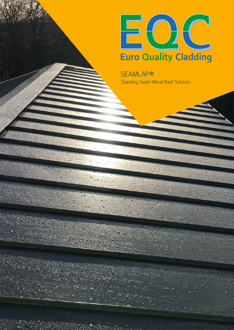

Standing Seam Metal Roof Solution SEAMLAP®